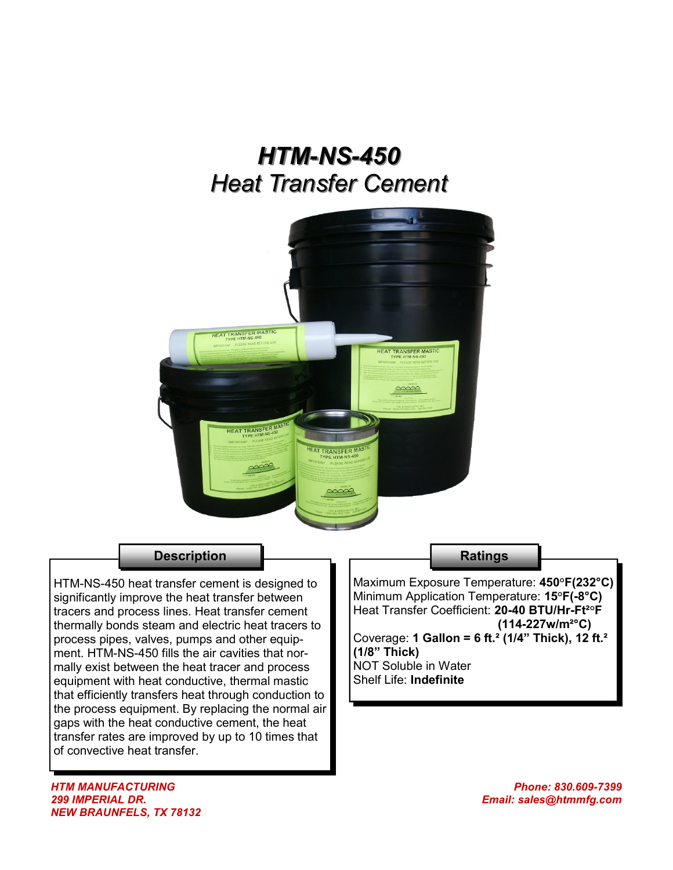# *HTM-NS-450 Heat Transfer Cement*



### **Description**

HTM-NS-450 heat transfer cement is designed to significantly improve the heat transfer between tracers and process lines. Heat transfer cement thermally bonds steam and electric heat tracers to process pipes, valves, pumps and other equipment. HTM-NS-450 fills the air cavities that normally exist between the heat tracer and process equipment with heat conductive, thermal mastic that efficiently transfers heat through conduction to the process equipment. By replacing the normal air gaps with the heat conductive cement, the heat transfer rates are improved by up to 10 times that of convective heat transfer.

#### **Ratings**

Maximum Exposure Temperature: **450°F(232°C)** Minimum Application Temperature: **15°F(-8°C)** Heat Transfer Coefficient: **20-40 BTU/Hr-Ft²°F (114-227w/m²°C)** Coverage: **1 Gallon = 6 ft.² (1/4" Thick), 12 ft.² (1/8" Thick)** NOT Soluble in Water

Shelf Life: **Indefinite**

*HTM MANUFACTURING 299 IMPERIAL DR. NEW BRAUNFELS, TX 78132*

*Phone: 830.609-7399 Email: sales@htmmfg.com*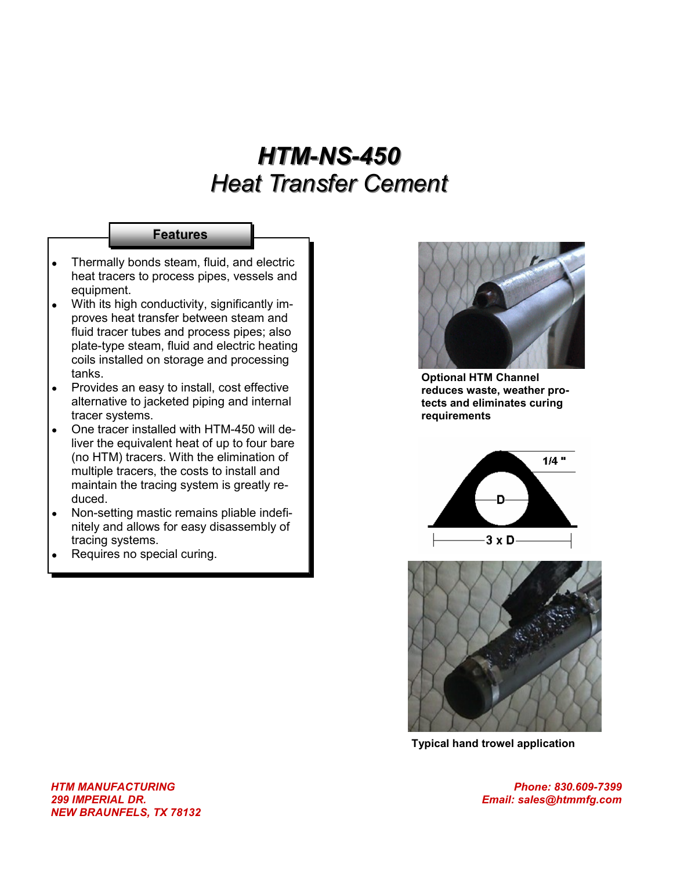# *HTM-NS-450 Heat Transfer Cement*

#### **Features**

- Thermally bonds steam, fluid, and electric  $\bullet$ heat tracers to process pipes, vessels and equipment.
- With its high conductivity, significantly improves heat transfer between steam and fluid tracer tubes and process pipes; also plate-type steam, fluid and electric heating coils installed on storage and processing tanks.
- Provides an easy to install, cost effective  $\bullet$ alternative to jacketed piping and internal tracer systems.
- One tracer installed with HTM-450 will deliver the equivalent heat of up to four bare (no HTM) tracers. With the elimination of multiple tracers, the costs to install and maintain the tracing system is greatly reduced.
- Non-setting mastic remains pliable indefinitely and allows for easy disassembly of tracing systems.
- Requires no special curing.



**Optional HTM Channel reduces waste, weather protects and eliminates curing requirements**





**Typical hand trowel application**

*Phone: 830.609-7399 Email: sales@htmmfg.com*

*HTM MANUFACTURING 299 IMPERIAL DR. NEW BRAUNFELS, TX 78132*